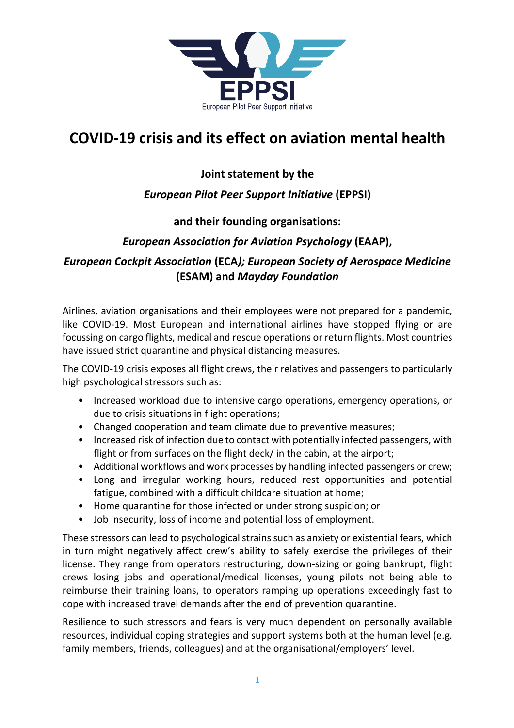

# **COVID-19 crisis and its effect on aviation mental health**

## **Joint statement by the**

#### *European Pilot Peer Support Initiative* **(EPPSI)**

#### **and their founding organisations:**

### *European Association for Aviation Psychology* **(EAAP),**

## *European Cockpit Association* **(ECA***); European Society of Aerospace Medicine* **(ESAM) and** *Mayday Foundation*

Airlines, aviation organisations and their employees were not prepared for a pandemic, like COVID-19. Most European and international airlines have stopped flying or are focussing on cargo flights, medical and rescue operations or return flights. Most countries have issued strict quarantine and physical distancing measures.

The COVID-19 crisis exposes all flight crews, their relatives and passengers to particularly high psychological stressors such as:

- Increased workload due to intensive cargo operations, emergency operations, or due to crisis situations in flight operations;
- Changed cooperation and team climate due to preventive measures;
- Increased risk of infection due to contact with potentially infected passengers, with flight or from surfaces on the flight deck/ in the cabin, at the airport;
- Additional workflows and work processes by handling infected passengers or crew;
- Long and irregular working hours, reduced rest opportunities and potential fatigue, combined with a difficult childcare situation at home;
- Home quarantine for those infected or under strong suspicion; or
- Job insecurity, loss of income and potential loss of employment.

These stressors can lead to psychological strains such as anxiety or existential fears, which in turn might negatively affect crew's ability to safely exercise the privileges of their license. They range from operators restructuring, down-sizing or going bankrupt, flight crews losing jobs and operational/medical licenses, young pilots not being able to reimburse their training loans, to operators ramping up operations exceedingly fast to cope with increased travel demands after the end of prevention quarantine.

Resilience to such stressors and fears is very much dependent on personally available resources, individual coping strategies and support systems both at the human level (e.g. family members, friends, colleagues) and at the organisational/employers' level.